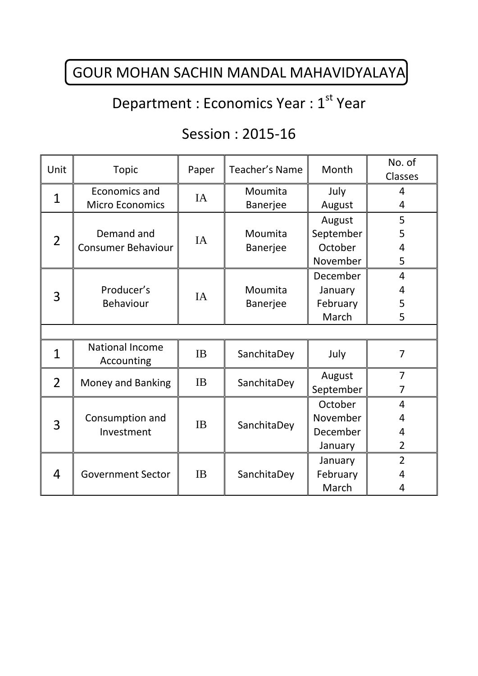## GOUR MOHAN SACHIN MANDAL MAHAVIDYALAYA

# Department : Economics Year : 1<sup>st</sup> Year

### Session : 2015-16

| Unit           | <b>Topic</b>                            | Paper     | Teacher's Name  | Month     | No. of         |  |  |
|----------------|-----------------------------------------|-----------|-----------------|-----------|----------------|--|--|
|                |                                         |           |                 |           | Classes        |  |  |
| $\mathbf{1}$   | Economics and<br><b>Micro Economics</b> | IA        | Moumita         | July      | $\overline{4}$ |  |  |
|                |                                         |           | <b>Banerjee</b> | August    | 4              |  |  |
| $\overline{2}$ | Demand and<br><b>Consumer Behaviour</b> | IA        |                 | August    | 5              |  |  |
|                |                                         |           | Moumita         | September | 5              |  |  |
|                |                                         |           | Banerjee        | October   | 4              |  |  |
|                |                                         |           |                 | November  | 5              |  |  |
| 3              | Producer's<br><b>Behaviour</b>          | <b>IA</b> |                 | December  | $\overline{4}$ |  |  |
|                |                                         |           | Moumita         | January   | 4              |  |  |
|                |                                         |           | <b>Banerjee</b> | February  | 5              |  |  |
|                |                                         |           |                 | March     | 5              |  |  |
|                |                                         |           |                 |           |                |  |  |
| 1              | <b>National Income</b><br>Accounting    | <b>IB</b> | SanchitaDey     | July      | $\overline{7}$ |  |  |
| $\overline{2}$ | Money and Banking                       | <b>IB</b> | SanchitaDey     | August    | $\overline{7}$ |  |  |
|                |                                         |           |                 | September | 7              |  |  |
| 3              | Consumption and<br>Investment           | <b>IB</b> | SanchitaDey     | October   | $\overline{4}$ |  |  |
|                |                                         |           |                 | November  | 4              |  |  |
|                |                                         |           |                 | December  | 4              |  |  |
|                |                                         |           |                 | January   | $\overline{2}$ |  |  |
| 4              | <b>Government Sector</b>                | <b>IB</b> | SanchitaDey     | January   | $\overline{2}$ |  |  |
|                |                                         |           |                 | February  | 4              |  |  |
|                |                                         |           |                 | March     | 4              |  |  |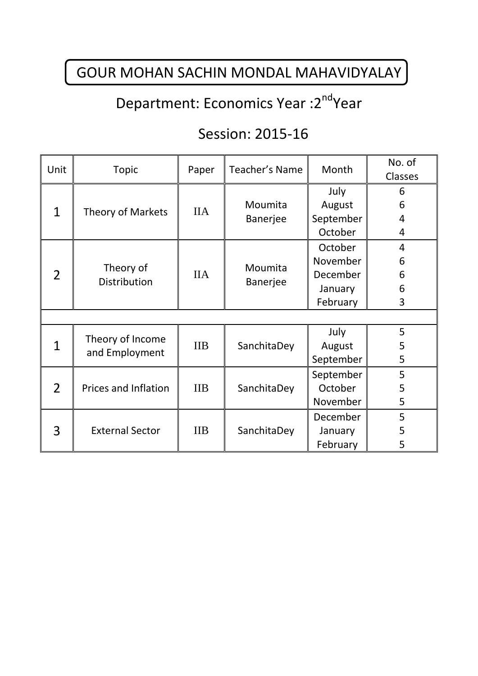## GOUR MOHAN SACHIN MONDAL MAHAVIDYALAY

### Department: Economics Year : 2<sup>nd</sup>Year

### Session: 2015-16

| Unit           | <b>Topic</b>                       | Paper            | Teacher's Name      | Month     | No. of<br>Classes |  |  |
|----------------|------------------------------------|------------------|---------------------|-----------|-------------------|--|--|
| $\mathbf{1}$   | Theory of Markets                  | <b>IIA</b>       |                     | July      | 6                 |  |  |
|                |                                    |                  | Moumita             | August    | 6                 |  |  |
|                |                                    |                  | Banerjee            | September | 4                 |  |  |
|                |                                    |                  |                     | October   | 4                 |  |  |
| $\mathcal{P}$  | Theory of<br>Distribution          | <b>IIA</b>       | Moumita<br>Banerjee | October   | $\overline{4}$    |  |  |
|                |                                    |                  |                     | November  | 6                 |  |  |
|                |                                    |                  |                     | December  | 6                 |  |  |
|                |                                    |                  |                     | January   | 6                 |  |  |
|                |                                    |                  |                     | February  | 3                 |  |  |
|                |                                    |                  |                     |           |                   |  |  |
| 1              | Theory of Income<br>and Employment | <b>IIB</b>       | SanchitaDey         | July      | 5                 |  |  |
|                |                                    |                  |                     | August    | 5                 |  |  |
|                |                                    |                  |                     | September | 5                 |  |  |
| $\overline{2}$ | Prices and Inflation               | $\overline{IIB}$ | SanchitaDey         | September | 5                 |  |  |
|                |                                    |                  |                     | October   | 5                 |  |  |
|                |                                    |                  |                     | November  | 5                 |  |  |
| 3              | <b>External Sector</b>             | <b>IIB</b>       | SanchitaDey         | December  | 5                 |  |  |
|                |                                    |                  |                     | January   | 5                 |  |  |
|                |                                    |                  |                     | February  | 5                 |  |  |